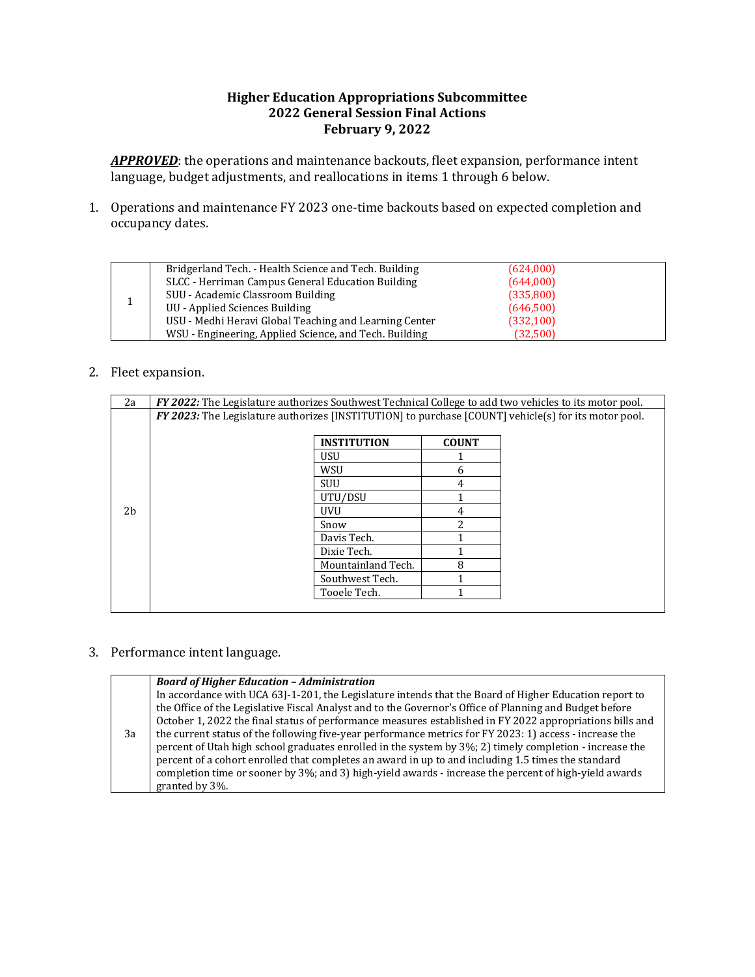## **Higher Education Appropriations Subcommittee 2022 General Session Final Actions February 9, 2022**

APPROVED: the operations and maintenance backouts, fleet expansion, performance intent language, budget adjustments, and reallocations in items 1 through 6 below.

1. Operations and maintenance FY 2023 one-time backouts based on expected completion and occupancy dates.

|  | Bridgerland Tech. - Health Science and Tech. Building  | (624,000)  |  |
|--|--------------------------------------------------------|------------|--|
|  | SLCC - Herriman Campus General Education Building      | (644,000)  |  |
|  | SUU - Academic Classroom Building                      | (335,800)  |  |
|  | UU - Applied Sciences Building                         | (646,500)  |  |
|  | USU - Medhi Heravi Global Teaching and Learning Center | (332, 100) |  |
|  | WSU - Engineering, Applied Science, and Tech. Building | (32,500)   |  |

## 2. Fleet expansion.

| FY 2022: The Legislature authorizes Southwest Technical College to add two vehicles to its motor pool. |                    |                    |                                                                                                                      |  |  |
|--------------------------------------------------------------------------------------------------------|--------------------|--------------------|----------------------------------------------------------------------------------------------------------------------|--|--|
|                                                                                                        |                    |                    |                                                                                                                      |  |  |
|                                                                                                        |                    |                    |                                                                                                                      |  |  |
|                                                                                                        |                    |                    |                                                                                                                      |  |  |
|                                                                                                        | <b>USU</b>         |                    |                                                                                                                      |  |  |
|                                                                                                        | WSU                | h                  |                                                                                                                      |  |  |
|                                                                                                        | <b>SUU</b>         | 4                  |                                                                                                                      |  |  |
|                                                                                                        | UTU/DSU            |                    |                                                                                                                      |  |  |
|                                                                                                        | <b>UVU</b>         | 4                  |                                                                                                                      |  |  |
|                                                                                                        | Snow               |                    |                                                                                                                      |  |  |
|                                                                                                        | Davis Tech.        |                    |                                                                                                                      |  |  |
|                                                                                                        | Dixie Tech.        |                    |                                                                                                                      |  |  |
|                                                                                                        | Mountainland Tech. | 8                  |                                                                                                                      |  |  |
|                                                                                                        | Southwest Tech.    |                    |                                                                                                                      |  |  |
|                                                                                                        | Tooele Tech.       |                    |                                                                                                                      |  |  |
|                                                                                                        |                    | <b>INSTITUTION</b> | FY 2023: The Legislature authorizes [INSTITUTION] to purchase [COUNT] vehicle(s) for its motor pool.<br><b>COUNT</b> |  |  |

## 3. Performance intent language.

|    | <b>Board of Higher Education - Administration</b>                                                        |
|----|----------------------------------------------------------------------------------------------------------|
|    | In accordance with UCA 63J-1-201, the Legislature intends that the Board of Higher Education report to   |
|    | the Office of the Legislative Fiscal Analyst and to the Governor's Office of Planning and Budget before  |
|    | October 1, 2022 the final status of performance measures established in FY 2022 appropriations bills and |
| 3a | the current status of the following five-year performance metrics for FY 2023: 1) access - increase the  |
|    | percent of Utah high school graduates enrolled in the system by 3%; 2) timely completion - increase the  |
|    | percent of a cohort enrolled that completes an award in up to and including 1.5 times the standard       |
|    | completion time or sooner by 3%; and 3) high-yield awards - increase the percent of high-yield awards    |
|    | granted by 3\%.                                                                                          |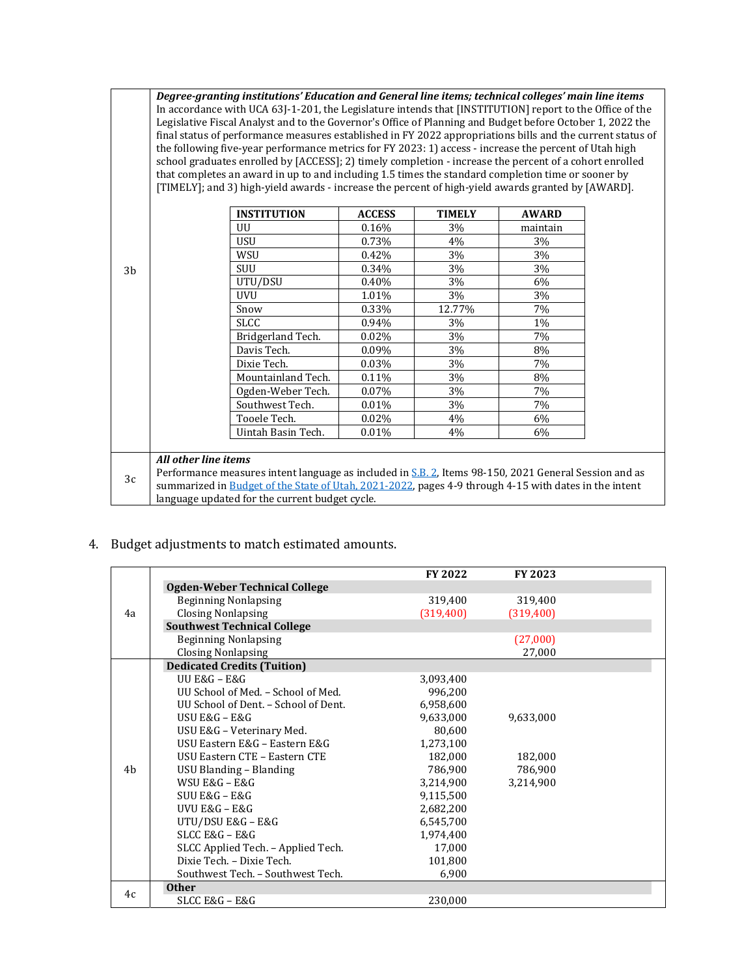*Degree‐granting institutions' Education and General line items; technical colleges' main line items* In accordance with UCA 63J-1-201, the Legislature intends that [INSTITUTION] report to the Office of the Legislative Fiscal Analyst and to the Governor's Office of Planning and Budget before October 1, 2022 the final status of performance measures established in FY 2022 appropriations bills and the current status of the following five-year performance metrics for FY 2023: 1) access - increase the percent of Utah high school graduates enrolled by [ACCESS]; 2) timely completion - increase the percent of a cohort enrolled that completes an award in up to and including 1.5 times the standard completion time or sooner by [TIMELY]; and 3) high-yield awards - increase the percent of high-yield awards granted by [AWARD].

|    |                                                                                                       | <b>INSTITUTION</b>                                                                                    | <b>ACCESS</b> | <b>TIMELY</b> | <b>AWARD</b> |  |
|----|-------------------------------------------------------------------------------------------------------|-------------------------------------------------------------------------------------------------------|---------------|---------------|--------------|--|
|    |                                                                                                       | UU                                                                                                    | 0.16%         | 3%            | maintain     |  |
|    |                                                                                                       | USU                                                                                                   | 0.73%         | 4%            | 3%           |  |
|    |                                                                                                       | WSU                                                                                                   | 0.42%         | 3%            | 3%           |  |
| 3b |                                                                                                       | SUU                                                                                                   | 0.34%         | 3%            | 3%           |  |
|    |                                                                                                       | UTU/DSU                                                                                               | 0.40%         | 3%            | 6%           |  |
|    |                                                                                                       | <b>UVU</b>                                                                                            | 1.01%         | 3%            | 3%           |  |
|    |                                                                                                       | Snow                                                                                                  | 0.33%         | 12.77%        | 7%           |  |
|    |                                                                                                       | SLCC                                                                                                  | 0.94%         | 3%            | $1\%$        |  |
|    |                                                                                                       | Bridgerland Tech.                                                                                     | $0.02\%$      | 3%            | 7%           |  |
|    |                                                                                                       | Davis Tech.                                                                                           | 0.09%         | 3%            | 8%           |  |
|    |                                                                                                       | Dixie Tech.                                                                                           | 0.03%         | 3%            | 7%           |  |
|    |                                                                                                       | Mountainland Tech.                                                                                    | 0.11%         | 3%            | 8%           |  |
|    |                                                                                                       | Ogden-Weber Tech.                                                                                     | 0.07%         | $3\%$         | 7%           |  |
|    |                                                                                                       | Southwest Tech.                                                                                       | 0.01%         | 3%            | 7%           |  |
|    |                                                                                                       | Tooele Tech.                                                                                          | $0.02\%$      | 4%            | 6%           |  |
|    |                                                                                                       | Uintah Basin Tech.                                                                                    | $0.01\%$      | 4%            | 6%           |  |
|    |                                                                                                       |                                                                                                       |               |               |              |  |
|    | All other line items                                                                                  |                                                                                                       |               |               |              |  |
| 3c | Performance measures intent language as included in S.B. 2, Items 98-150, 2021 General Session and as |                                                                                                       |               |               |              |  |
|    |                                                                                                       | summarized in Budget of the State of Utah, 2021-2022, pages 4-9 through 4-15 with dates in the intent |               |               |              |  |
|    |                                                                                                       | language updated for the current budget cycle.                                                        |               |               |              |  |

4. Budget adjustments to match estimated amounts.

|    |                                      | <b>FY 2022</b> | FY 2023   |  |
|----|--------------------------------------|----------------|-----------|--|
| 4a | Ogden-Weber Technical College        |                |           |  |
|    | <b>Beginning Nonlapsing</b>          | 319,400        | 319,400   |  |
|    | <b>Closing Nonlapsing</b>            | (319, 400)     | (319,400) |  |
|    | <b>Southwest Technical College</b>   |                |           |  |
|    | <b>Beginning Nonlapsing</b>          |                | (27,000)  |  |
|    | <b>Closing Nonlapsing</b>            |                | 27,000    |  |
|    | <b>Dedicated Credits (Tuition)</b>   |                |           |  |
|    | UU E&G – E&G                         | 3,093,400      |           |  |
|    | UU School of Med. - School of Med.   | 996,200        |           |  |
|    | UU School of Dent. - School of Dent. | 6,958,600      |           |  |
|    | USU E&G - E&G                        | 9,633,000      | 9.633.000 |  |
|    | USU E&G - Veterinary Med.            | 80,600         |           |  |
|    | USU Eastern E&G - Eastern E&G        | 1,273,100      |           |  |
|    | USU Eastern CTE - Eastern CTE        | 182,000        | 182,000   |  |
| 4b | USU Blanding - Blanding              | 786,900        | 786,900   |  |
|    | WSU E&G - E&G                        | 3,214,900      | 3,214,900 |  |
|    | $SIUI E&G - E&G$                     | 9,115,500      |           |  |
|    | UVU $E&G - E&G$                      | 2,682,200      |           |  |
|    | UTU/DSU E&G - E&G                    | 6,545,700      |           |  |
|    | SLCC E&G - E&G                       | 1,974,400      |           |  |
|    | SLCC Applied Tech. - Applied Tech.   | 17,000         |           |  |
|    | Dixie Tech. - Dixie Tech.            | 101,800        |           |  |
|    | Southwest Tech. - Southwest Tech.    | 6,900          |           |  |
| 4c | <b>Other</b>                         |                |           |  |
|    | SLCC E&G – E&G                       | 230,000        |           |  |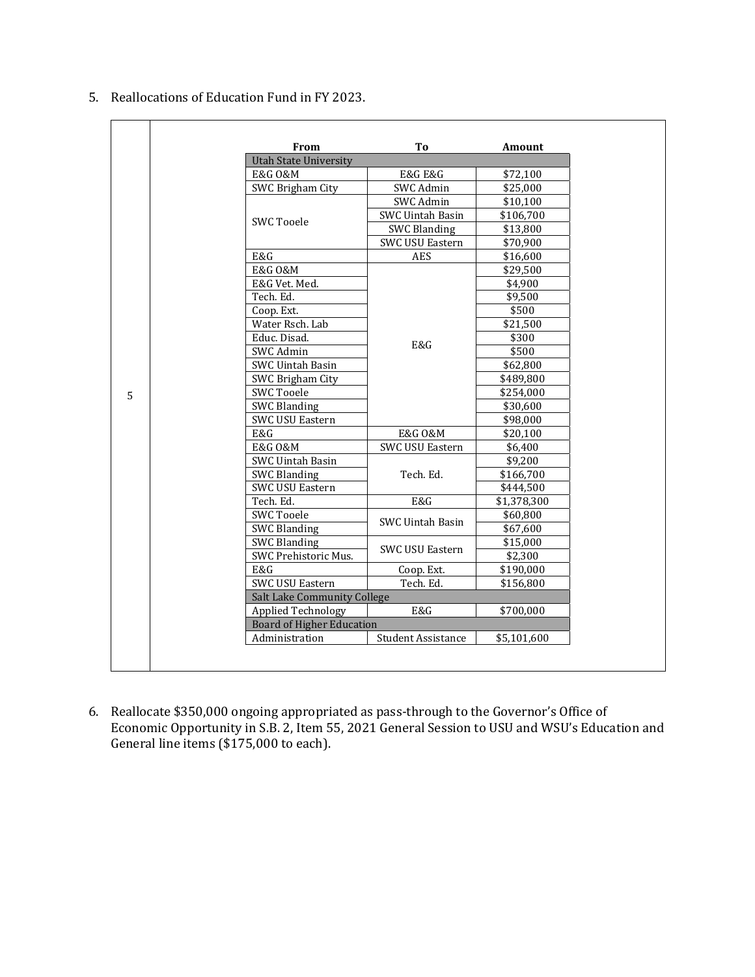5. Reallocations of Education Fund in FY 2023.

| From<br><b>Utah State University</b> | To                        | Amount      |
|--------------------------------------|---------------------------|-------------|
| E&G 0&M                              | <b>E&amp;G E&amp;G</b>    | \$72,100    |
| SWC Brigham City                     | SWC Admin                 | \$25,000    |
|                                      | SWC Admin                 |             |
| <b>SWC Tooele</b>                    |                           | \$10,100    |
|                                      | <b>SWC Uintah Basin</b>   | \$106,700   |
|                                      | <b>SWC Blanding</b>       | \$13,800    |
|                                      | SWC USU Eastern           | \$70,900    |
| E&G                                  | <b>AES</b>                | \$16,600    |
| E&G 0&M                              |                           | \$29,500    |
| E&G Vet. Med.                        |                           | \$4,900     |
| Tech. Ed.                            |                           | \$9,500     |
| Coop. Ext.                           |                           | \$500       |
| Water Rsch. Lab                      |                           | \$21,500    |
| Educ. Disad.                         |                           | \$300       |
| SWC Admin                            | E&G                       | \$500       |
| SWC Uintah Basin                     |                           | \$62,800    |
| SWC Brigham City                     |                           | \$489,800   |
| <b>SWC Tooele</b>                    |                           | \$254,000   |
| <b>SWC Blanding</b>                  |                           | \$30,600    |
| SWC USU Eastern                      |                           | \$98,000    |
| E&G                                  | E&G 0&M                   | \$20,100    |
| E&G 0&M                              | SWC USU Eastern           | \$6,400     |
| SWC Uintah Basin                     |                           | \$9,200     |
| <b>SWC Blanding</b>                  | Tech. Ed.                 | \$166,700   |
| SWC USU Eastern                      |                           | \$444,500   |
|                                      | E&G                       |             |
| Tech. Ed.                            |                           | \$1,378,300 |
| <b>SWC Tooele</b>                    | <b>SWC Uintah Basin</b>   | \$60,800    |
| <b>SWC Blanding</b>                  |                           | \$67,600    |
| <b>SWC Blanding</b>                  | <b>SWC USU Eastern</b>    | \$15,000    |
| SWC Prehistoric Mus.                 |                           | \$2,300     |
| E&G                                  | Coop. Ext.                | \$190,000   |
| <b>SWC USU Eastern</b>               | Tech. Ed.                 | \$156,800   |
| <b>Salt Lake Community College</b>   |                           |             |
| Applied Technology                   | E&G                       | \$700,000   |
| <b>Board of Higher Education</b>     |                           |             |
| Administration                       | <b>Student Assistance</b> | \$5,101,600 |

6. Reallocate \$350,000 ongoing appropriated as pass-through to the Governor's Office of Economic Opportunity in S.B. 2, Item 55, 2021 General Session to USU and WSU's Education and General line items (\$175,000 to each).